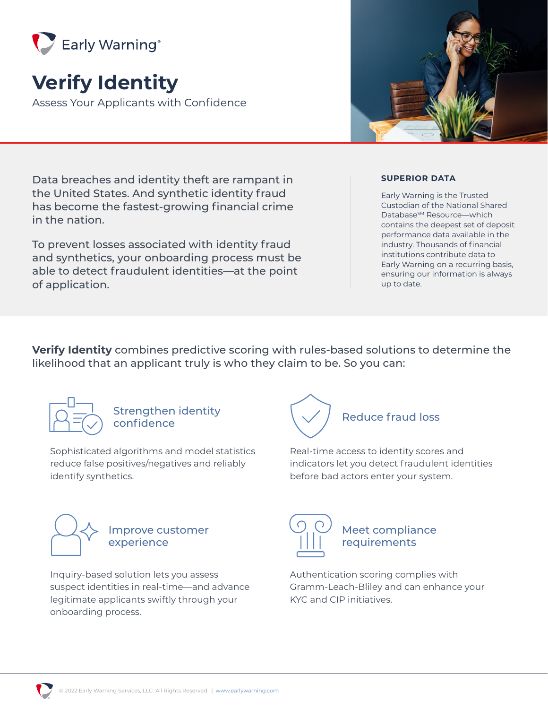

# **Verify Identity**

Assess Your Applicants with Confidence

Data breaches and identity theft are rampant in the United States. And synthetic identity fraud has become the fastest-growing financial crime in the nation.

To prevent losses associated with identity fraud and synthetics, your onboarding process must be able to detect fraudulent identities—at the point of application.

#### **SUPERIOR DATA**

Early Warning is the Trusted Custodian of the National Shared Database<sup>SM</sup> Resource—which contains the deepest set of deposit performance data available in the industry. Thousands of financial institutions contribute data to Early Warning on a recurring basis, ensuring our information is always up to date.

**Verify Identity** combines predictive scoring with rules-based solutions to determine the likelihood that an applicant truly is who they claim to be. So you can:



Strengthen identity

Sophisticated algorithms and model statistics reduce false positives/negatives and reliably identify synthetics.



Improve customer experience

Inquiry-based solution lets you assess suspect identities in real-time—and advance legitimate applicants swiftly through your onboarding process.



Real-time access to identity scores and indicators let you detect fraudulent identities before bad actors enter your system.



Meet compliance requirements

Authentication scoring complies with Gramm-Leach-Bliley and can enhance your KYC and CIP initiatives.